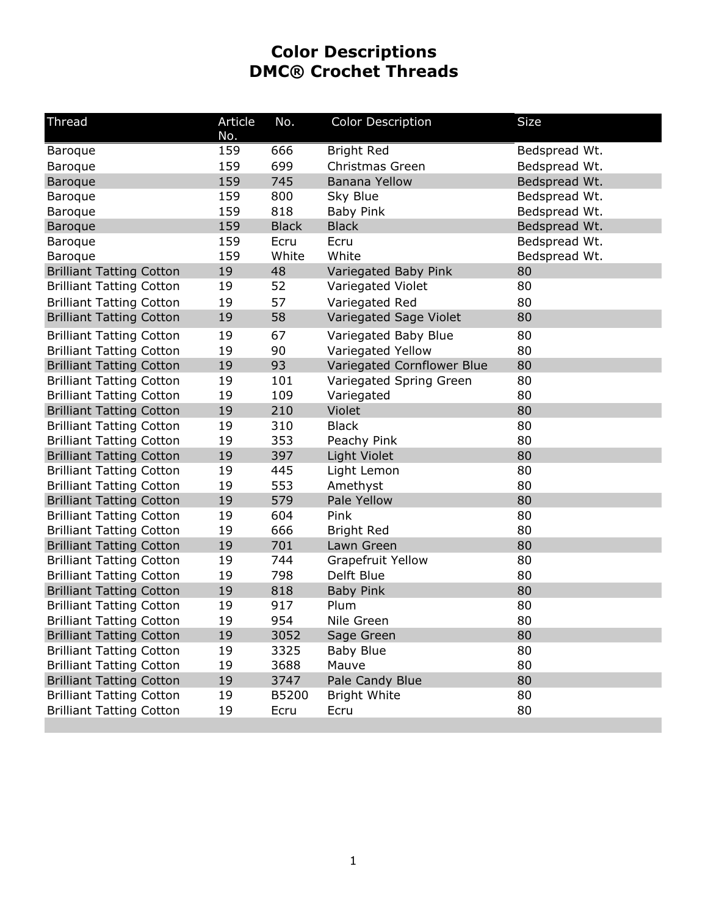## **Color Descriptions DMC® Crochet Threads**

| <b>Thread</b>                   | Article | No.          | <b>Color Description</b>   | Size          |
|---------------------------------|---------|--------------|----------------------------|---------------|
|                                 | No.     |              |                            |               |
| <b>Baroque</b>                  | 159     | 666          | <b>Bright Red</b>          | Bedspread Wt. |
| <b>Baroque</b>                  | 159     | 699          | Christmas Green            | Bedspread Wt. |
| <b>Baroque</b>                  | 159     | 745          | <b>Banana Yellow</b>       | Bedspread Wt. |
| <b>Baroque</b>                  | 159     | 800          | Sky Blue                   | Bedspread Wt. |
| <b>Baroque</b>                  | 159     | 818          | <b>Baby Pink</b>           | Bedspread Wt. |
| <b>Baroque</b>                  | 159     | <b>Black</b> | <b>Black</b>               | Bedspread Wt. |
| Baroque                         | 159     | Ecru         | Ecru                       | Bedspread Wt. |
| <b>Baroque</b>                  | 159     | White        | White                      | Bedspread Wt. |
| <b>Brilliant Tatting Cotton</b> | 19      | 48           | Variegated Baby Pink       | 80            |
| <b>Brilliant Tatting Cotton</b> | 19      | 52           | Variegated Violet          | 80            |
| <b>Brilliant Tatting Cotton</b> | 19      | 57           | Variegated Red             | 80            |
| <b>Brilliant Tatting Cotton</b> | 19      | 58           | Variegated Sage Violet     | 80            |
| <b>Brilliant Tatting Cotton</b> | 19      | 67           | Variegated Baby Blue       | 80            |
| <b>Brilliant Tatting Cotton</b> | 19      | 90           | Variegated Yellow          | 80            |
| <b>Brilliant Tatting Cotton</b> | 19      | 93           | Variegated Cornflower Blue | 80            |
| <b>Brilliant Tatting Cotton</b> | 19      | 101          | Variegated Spring Green    | 80            |
| <b>Brilliant Tatting Cotton</b> | 19      | 109          | Variegated                 | 80            |
| <b>Brilliant Tatting Cotton</b> | 19      | 210          | Violet                     | 80            |
| <b>Brilliant Tatting Cotton</b> | 19      | 310          | <b>Black</b>               | 80            |
| <b>Brilliant Tatting Cotton</b> | 19      | 353          | Peachy Pink                | 80            |
| <b>Brilliant Tatting Cotton</b> | 19      | 397          | <b>Light Violet</b>        | 80            |
| <b>Brilliant Tatting Cotton</b> | 19      | 445          | Light Lemon                | 80            |
| <b>Brilliant Tatting Cotton</b> | 19      | 553          | Amethyst                   | 80            |
| <b>Brilliant Tatting Cotton</b> | 19      | 579          | Pale Yellow                | 80            |
| <b>Brilliant Tatting Cotton</b> | 19      | 604          | Pink                       | 80            |
| <b>Brilliant Tatting Cotton</b> | 19      | 666          | <b>Bright Red</b>          | 80            |
| <b>Brilliant Tatting Cotton</b> | 19      | 701          | Lawn Green                 | 80            |
| <b>Brilliant Tatting Cotton</b> | 19      | 744          | <b>Grapefruit Yellow</b>   | 80            |
| <b>Brilliant Tatting Cotton</b> | 19      | 798          | Delft Blue                 | 80            |
| <b>Brilliant Tatting Cotton</b> | 19      | 818          | <b>Baby Pink</b>           | 80            |
| <b>Brilliant Tatting Cotton</b> | 19      | 917          | Plum                       | 80            |
| <b>Brilliant Tatting Cotton</b> | 19      | 954          | Nile Green                 | 80            |
| <b>Brilliant Tatting Cotton</b> | 19      | 3052         | Sage Green                 | 80            |
| <b>Brilliant Tatting Cotton</b> | 19      | 3325         | <b>Baby Blue</b>           | 80            |
| <b>Brilliant Tatting Cotton</b> | 19      | 3688         | Mauve                      | 80            |
| <b>Brilliant Tatting Cotton</b> | 19      | 3747         | Pale Candy Blue            | 80            |
| <b>Brilliant Tatting Cotton</b> | 19      | B5200        | <b>Bright White</b>        | 80            |
| <b>Brilliant Tatting Cotton</b> | 19      | Ecru         | Ecru                       | 80            |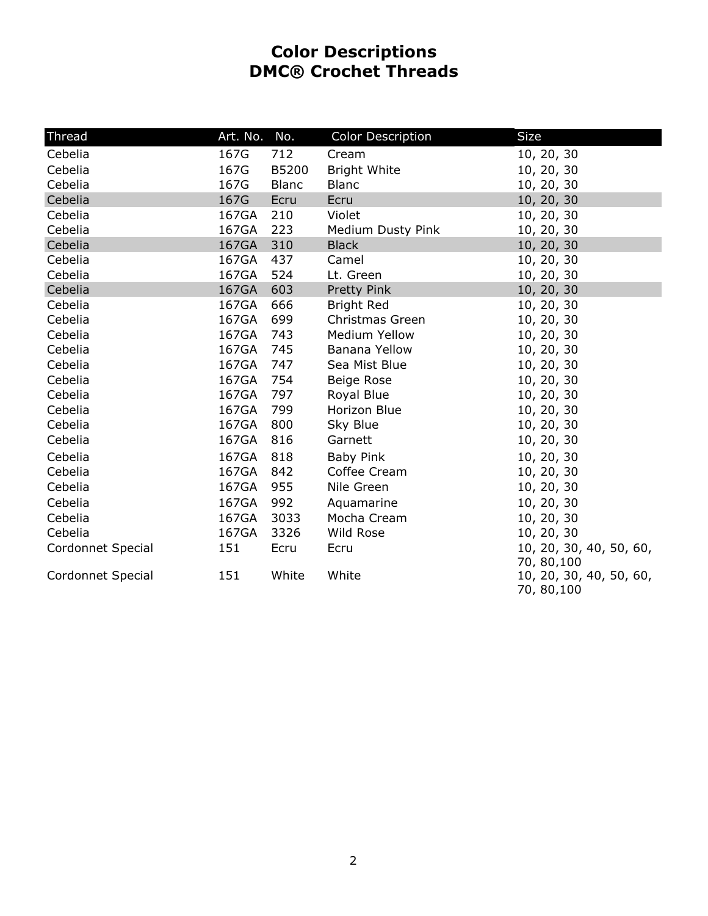## **Color Descriptions DMC® Crochet Threads**

| <b>Thread</b>     | Art. No. | No.          | <b>Color Description</b> | <b>Size</b>                            |
|-------------------|----------|--------------|--------------------------|----------------------------------------|
| Cebelia           | 167G     | 712          | Cream                    | 10, 20, 30                             |
| Cebelia           | 167G     | B5200        | <b>Bright White</b>      | 10, 20, 30                             |
| Cebelia           | 167G     | <b>Blanc</b> | <b>Blanc</b>             | 10, 20, 30                             |
| Cebelia           | 167G     | Ecru         | Ecru                     | 10, 20, 30                             |
| Cebelia           | 167GA    | 210          | Violet                   | 10, 20, 30                             |
| Cebelia           | 167GA    | 223          | Medium Dusty Pink        | 10, 20, 30                             |
| Cebelia           | 167GA    | 310          | <b>Black</b>             | 10, 20, 30                             |
| Cebelia           | 167GA    | 437          | Camel                    | 10, 20, 30                             |
| Cebelia           | 167GA    | 524          | Lt. Green                | 10, 20, 30                             |
| Cebelia           | 167GA    | 603          | Pretty Pink              | 10, 20, 30                             |
| Cebelia           | 167GA    | 666          | <b>Bright Red</b>        | 10, 20, 30                             |
| Cebelia           | 167GA    | 699          | Christmas Green          | 10, 20, 30                             |
| Cebelia           | 167GA    | 743          | <b>Medium Yellow</b>     | 10, 20, 30                             |
| Cebelia           | 167GA    | 745          | Banana Yellow            | 10, 20, 30                             |
| Cebelia           | 167GA    | 747          | Sea Mist Blue            | 10, 20, 30                             |
| Cebelia           | 167GA    | 754          | Beige Rose               | 10, 20, 30                             |
| Cebelia           | 167GA    | 797          | Royal Blue               | 10, 20, 30                             |
| Cebelia           | 167GA    | 799          | Horizon Blue             | 10, 20, 30                             |
| Cebelia           | 167GA    | 800          | Sky Blue                 | 10, 20, 30                             |
| Cebelia           | 167GA    | 816          | Garnett                  | 10, 20, 30                             |
| Cebelia           | 167GA    | 818          | <b>Baby Pink</b>         | 10, 20, 30                             |
| Cebelia           | 167GA    | 842          | Coffee Cream             | 10, 20, 30                             |
| Cebelia           | 167GA    | 955          | Nile Green               | 10, 20, 30                             |
| Cebelia           | 167GA    | 992          | Aquamarine               | 10, 20, 30                             |
| Cebelia           | 167GA    | 3033         | Mocha Cream              | 10, 20, 30                             |
| Cebelia           | 167GA    | 3326         | Wild Rose                | 10, 20, 30                             |
| Cordonnet Special | 151      | Ecru         | Ecru                     | 10, 20, 30, 40, 50, 60,                |
|                   |          |              |                          | 70, 80, 100                            |
| Cordonnet Special | 151      | White        | White                    | 10, 20, 30, 40, 50, 60,<br>70, 80, 100 |